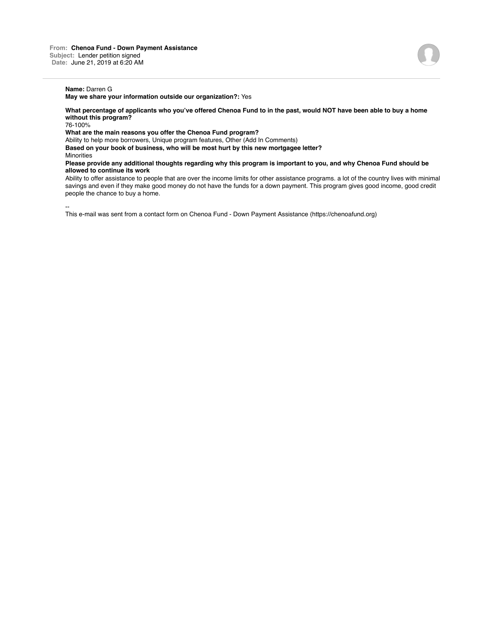## **Name:** Darren G

**May we share your information outside our organization?:** Yes

**What percentage of applicants who you've offered Chenoa Fund to in the past, would NOT have been able to buy a home without this program?**

76-100%

**What are the main reasons you offer the Chenoa Fund program?**

Ability to help more borrowers, Unique program features, Other (Add In Comments) **Based on your book of business, who will be most hurt by this new mortgagee letter?**

**Minorities** 

--

**Please provide any additional thoughts regarding why this program is important to you, and why Chenoa Fund should be allowed to continue its work**

Ability to offer assistance to people that are over the income limits for other assistance programs. a lot of the country lives with minimal savings and even if they make good money do not have the funds for a down payment. This program gives good income, good credit people the chance to buy a home.

This e-mail was sent from a contact form on Chenoa Fund - Down Payment Assistance (https://chenoafund.org)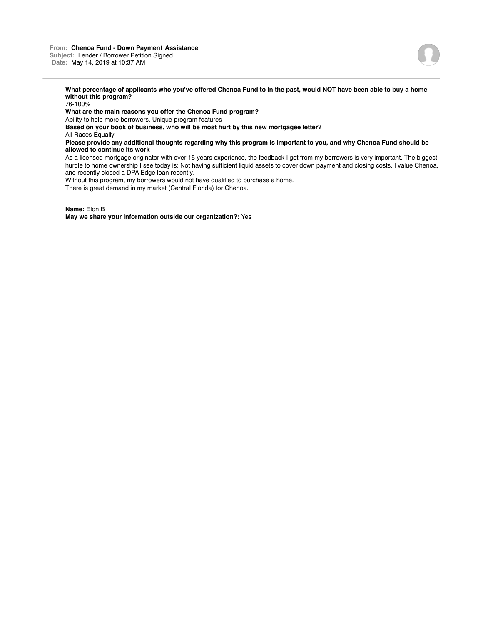

**What percentage of applicants who you've offered Chenoa Fund to in the past, would NOT have been able to buy a home without this program?**

76-100%

**What are the main reasons you offer the Chenoa Fund program?**

Ability to help more borrowers, Unique program features

**Based on your book of business, who will be most hurt by this new mortgagee letter?**

All Races Equally

**Please provide any additional thoughts regarding why this program is important to you, and why Chenoa Fund should be allowed to continue its work**

As a licensed mortgage originator with over 15 years experience, the feedback I get from my borrowers is very important. The biggest hurdle to home ownership I see today is: Not having sufficient liquid assets to cover down payment and closing costs. I value Chenoa, and recently closed a DPA Edge loan recently.

Without this program, my borrowers would not have qualified to purchase a home.

There is great demand in my market (Central Florida) for Chenoa.

**Name:** Elon B

**May we share your information outside our organization?:** Yes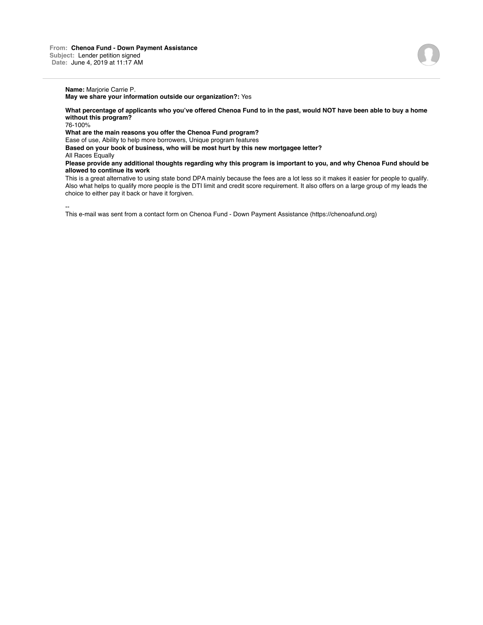**What percentage of applicants who you've offered Chenoa Fund to in the past, would NOT have been able to buy a home without this program?**

76-100%

**What are the main reasons you offer the Chenoa Fund program?**

Ease of use, Ability to help more borrowers, Unique program features

**Based on your book of business, who will be most hurt by this new mortgagee letter?**

All Races Equally

**Please provide any additional thoughts regarding why this program is important to you, and why Chenoa Fund should be allowed to continue its work**

This is a great alternative to using state bond DPA mainly because the fees are a lot less so it makes it easier for people to qualify. Also what helps to qualify more people is the DTI limit and credit score requirement. It also offers on a large group of my leads the choice to either pay it back or have it forgiven.

-- This e-mail was sent from a contact form on Chenoa Fund - Down Payment Assistance (https://chenoafund.org)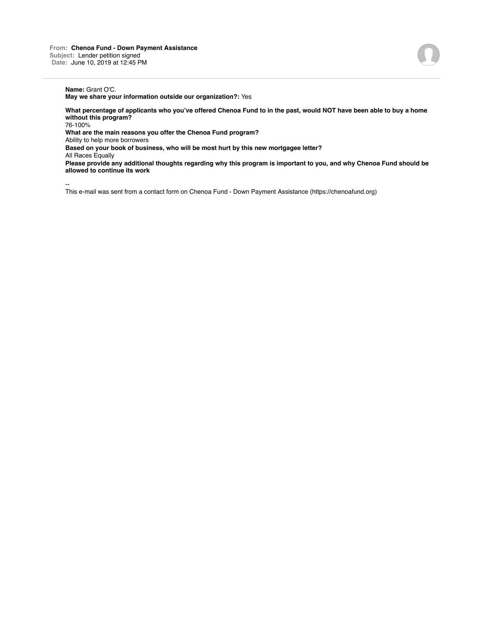## **Name:** Grant O'C.

**May we share your information outside our organization?:** Yes

**What percentage of applicants who you've offered Chenoa Fund to in the past, would NOT have been able to buy a home without this program?**

76-100%

**What are the main reasons you offer the Chenoa Fund program?**

Ability to help more borrowers

**Based on your book of business, who will be most hurt by this new mortgagee letter?**

All Races Equally

**Please provide any additional thoughts regarding why this program is important to you, and why Chenoa Fund should be allowed to continue its work**

--

This e-mail was sent from a contact form on Chenoa Fund - Down Payment Assistance (https://chenoafund.org)